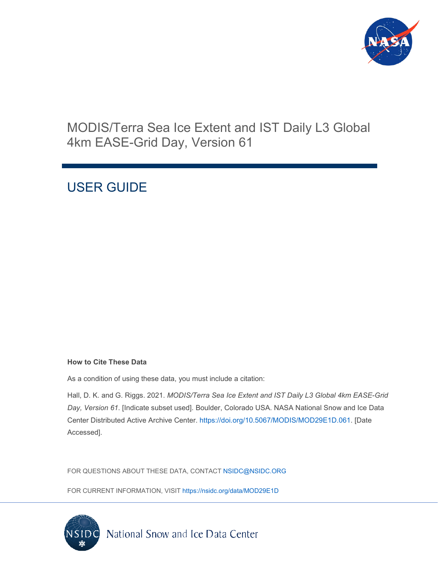

# MODIS/Terra Sea Ice Extent and IST Daily L3 Global 4km EASE-Grid Day, Version 61

# USER GUIDE

#### **How to Cite These Data**

As a condition of using these data, you must include a citation:

Hall, D. K. and G. Riggs. 2021. *MODIS/Terra Sea Ice Extent and IST Daily L3 Global 4km EASE-Grid Day, Version 61*. [Indicate subset used]. Boulder, Colorado USA. NASA National Snow and Ice Data Center Distributed Active Archive Center. [https://doi.org/10.5067/MODIS/MOD29E1D.061.](https://doi.org/10.5067/MODIS/MOD29E1D.061) [Date Accessed].

FOR QUESTIONS ABOUT THESE DATA, CONTACT [NSIDC@NSIDC.ORG](mailto:nsidc@nsidc.org)

FOR CURRENT INFORMATION, VISIT<https://nsidc.org/data/MOD29E1D>

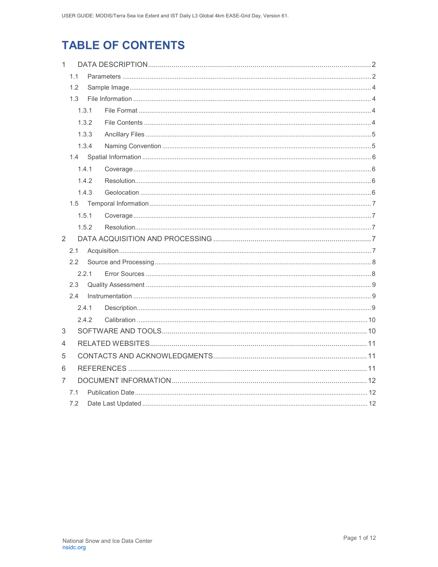# **TABLE OF CONTENTS**

| 1 |     |       |  |  |
|---|-----|-------|--|--|
|   | 1.1 |       |  |  |
|   | 1.2 |       |  |  |
|   | 1.3 |       |  |  |
|   |     | 1.3.1 |  |  |
|   |     | 1.3.2 |  |  |
|   |     | 1.3.3 |  |  |
|   |     | 1.3.4 |  |  |
|   |     |       |  |  |
|   |     | 1.4.1 |  |  |
|   |     | 1.4.2 |  |  |
|   |     | 1.4.3 |  |  |
|   |     |       |  |  |
|   |     | 1.5.1 |  |  |
|   |     | 1.5.2 |  |  |
| 2 |     |       |  |  |
|   | 2.1 |       |  |  |
|   | 2.2 |       |  |  |
|   |     | 2.2.1 |  |  |
|   | 2.3 |       |  |  |
|   | 2.4 |       |  |  |
|   |     | 2.4.1 |  |  |
|   |     | 242   |  |  |
| 3 |     |       |  |  |
| 4 |     |       |  |  |
| 5 |     |       |  |  |
| 6 |     |       |  |  |
| 7 |     |       |  |  |
|   | 7.1 |       |  |  |
|   | 7.2 |       |  |  |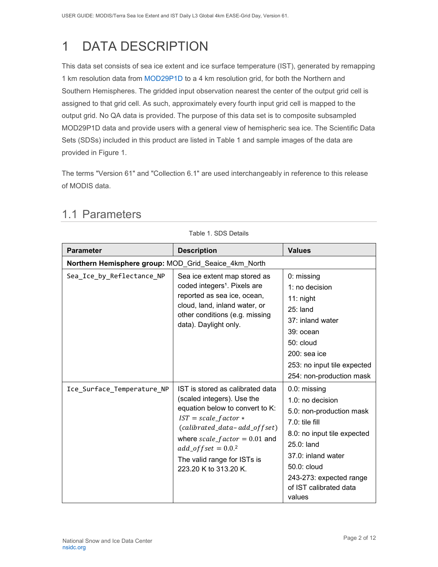# <span id="page-2-0"></span>1 DATA DESCRIPTION

This data set consists of sea ice extent and ice surface temperature (IST), generated by remapping 1 km resolution data from [MOD29P1D](https://nsidc.org/data/mod29p1d/versions/61) to a 4 km resolution grid, for both the Northern and Southern Hemispheres. The gridded input observation nearest the center of the output grid cell is assigned to that grid cell. As such, approximately every fourth input grid cell is mapped to the output grid. No QA data is provided. The purpose of this data set is to composite subsampled MOD29P1D data and provide users with a general view of hemispheric sea ice. The Scientific Data Sets (SDSs) included in this product are listed in Table 1 and sample images of the data are provided in Figure 1.

The terms "Version 61" and "Collection 6.1" are used interchangeably in reference to this release of MODIS data.

| Table 1. SDS Details                                 |                                                                                                                                                                                                                                                                                |                                                                                                                                                                                                                                   |  |
|------------------------------------------------------|--------------------------------------------------------------------------------------------------------------------------------------------------------------------------------------------------------------------------------------------------------------------------------|-----------------------------------------------------------------------------------------------------------------------------------------------------------------------------------------------------------------------------------|--|
| <b>Parameter</b>                                     | <b>Description</b>                                                                                                                                                                                                                                                             | <b>Values</b>                                                                                                                                                                                                                     |  |
| Northern Hemisphere group: MOD_Grid_Seaice_4km_North |                                                                                                                                                                                                                                                                                |                                                                                                                                                                                                                                   |  |
| Sea_Ice_by_Reflectance_NP                            | Sea ice extent map stored as<br>coded integers <sup>1</sup> . Pixels are<br>reported as sea ice, ocean,<br>cloud, land, inland water, or<br>other conditions (e.g. missing<br>data). Daylight only.                                                                            | $0:$ missing<br>1: no decision<br>$11:$ night<br>$25:$ land<br>37: inland water<br>39: ocean<br>50: cloud<br>$200:$ sea ice<br>253: no input tile expected<br>254: non-production mask                                            |  |
| Ice Surface Temperature NP                           | IST is stored as calibrated data<br>(scaled integers). Use the<br>equation below to convert to K:<br>$IST = scale_factor *$<br>(calibrated_data-add_offset)<br>where $scale_factor = 0.01$ and<br>$add\_offset = 0.02$<br>The valid range for ISTs is<br>223.20 K to 313.20 K. | 0.0: missing<br>1.0: no decision<br>5.0: non-production mask<br>$7.0:$ tile fill<br>8.0: no input tile expected<br>25.0: land<br>37.0: inland water<br>50.0: cloud<br>243-273: expected range<br>of IST calibrated data<br>values |  |

## <span id="page-2-1"></span>1.1 Parameters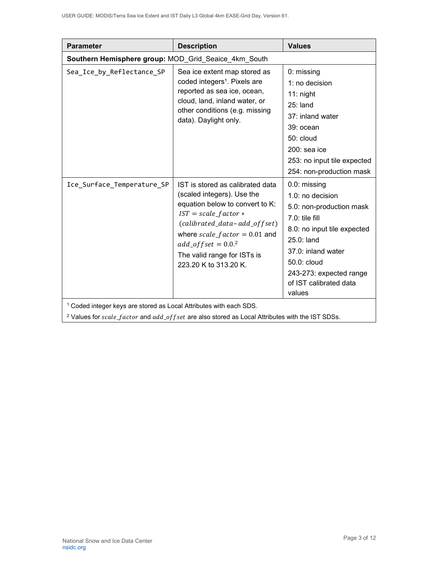| <b>Parameter</b>                                                                                                                                                                            | <b>Description</b>                                                                                                                                                                                                                                                             | <b>Values</b>                                                                                                                                                                                                                     |  |  |
|---------------------------------------------------------------------------------------------------------------------------------------------------------------------------------------------|--------------------------------------------------------------------------------------------------------------------------------------------------------------------------------------------------------------------------------------------------------------------------------|-----------------------------------------------------------------------------------------------------------------------------------------------------------------------------------------------------------------------------------|--|--|
|                                                                                                                                                                                             | Southern Hemisphere group: MOD_Grid_Seaice_4km_South                                                                                                                                                                                                                           |                                                                                                                                                                                                                                   |  |  |
| Sea_Ice_by_Reflectance_SP                                                                                                                                                                   | Sea ice extent map stored as<br>coded integers <sup>1</sup> . Pixels are<br>reported as sea ice, ocean,<br>cloud, land, inland water, or<br>other conditions (e.g. missing<br>data). Daylight only.                                                                            | 0: missing<br>1: no decision<br>$11:$ night<br>$25:$ land<br>37: inland water<br>39: ocean<br>50: cloud<br>200: sea ice<br>253: no input tile expected<br>254: non-production mask                                                |  |  |
| Ice_Surface_Temperature_SP                                                                                                                                                                  | IST is stored as calibrated data<br>(scaled integers). Use the<br>equation below to convert to K:<br>$IST = scale_factor *$<br>(calibrated_data-add_offset)<br>where $scale_factor = 0.01$ and<br>$add\_offset = 0.02$<br>The valid range for ISTs is<br>223.20 K to 313.20 K. | 0.0: missing<br>1.0: no decision<br>5.0: non-production mask<br>$7.0:$ tile fill<br>8.0: no input tile expected<br>25.0: land<br>37.0: inland water<br>50.0: cloud<br>243-273: expected range<br>of IST calibrated data<br>values |  |  |
| <sup>1</sup> Coded integer keys are stored as Local Attributes with each SDS.<br><sup>2</sup> Values for scale_factor and add_offset are also stored as Local Attributes with the IST SDSs. |                                                                                                                                                                                                                                                                                |                                                                                                                                                                                                                                   |  |  |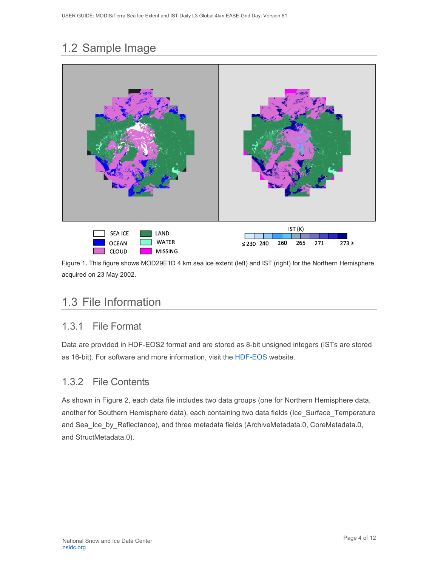# <span id="page-4-0"></span>1.2 Sample Image



Figure 1**.** This figure shows MOD29E1D 4 km sea ice extent (left) and IST (right) for the Northern Hemisphere, acquired on 23 May 2002.

## <span id="page-4-1"></span>1.3 File Information

### <span id="page-4-2"></span>1.3.1 File Format

Data are provided in HDF-EOS2 format and are stored as 8-bit unsigned integers (ISTs are stored as 16-bit). For software and more information, visit the [HDF-EOS](https://portal.hdfgroup.org/display/support) website.

### <span id="page-4-3"></span>1.3.2 File Contents

As shown in Figure 2, each data file includes two data groups (one for Northern Hemisphere data, another for Southern Hemisphere data), each containing two data fields (Ice\_Surface\_Temperature and Sea\_Ice\_by\_Reflectance), and three metadata fields (ArchiveMetadata.0, CoreMetadata.0, and StructMetadata.0).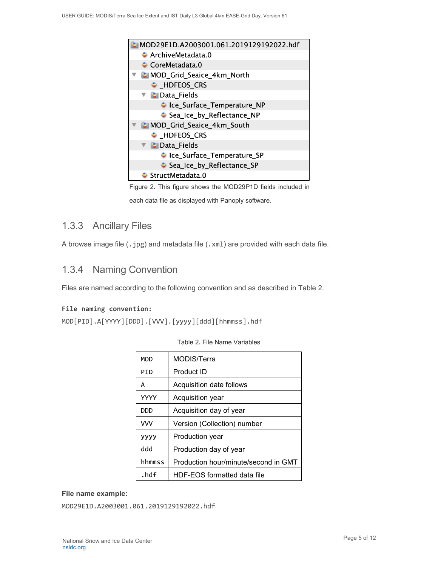

Figure 2**.** This figure shows the MOD29P1D fields included in

each data file as displayed with Panoply software.

### <span id="page-5-0"></span>1.3.3 Ancillary Files

A browse image file (.jpg) and metadata file (.xml) are provided with each data file.

### <span id="page-5-1"></span>1.3.4 Naming Convention

Files are named according to the following convention and as described in Table 2.

#### **File naming convention:**

MOD[PID].A[YYYY][DDD].[VVV].[yyyy][ddd][hhmmss].hdf

| MOD         | MODIS/Terra                          |
|-------------|--------------------------------------|
| PID         | Product ID                           |
| A           | Acquisition date follows             |
| <b>YYYY</b> | Acquisition year                     |
| סמם         | Acquisition day of year              |
| <b>VVV</b>  | Version (Collection) number          |
| yyyy        | Production year                      |
| ddd         | Production day of year               |
| hhmmss      | Production hour/minute/second in GMT |
| .hdf        | HDF-EOS formatted data file          |

#### **File name example:**

MOD29E1D.A2003001.061.2019129192022.hdf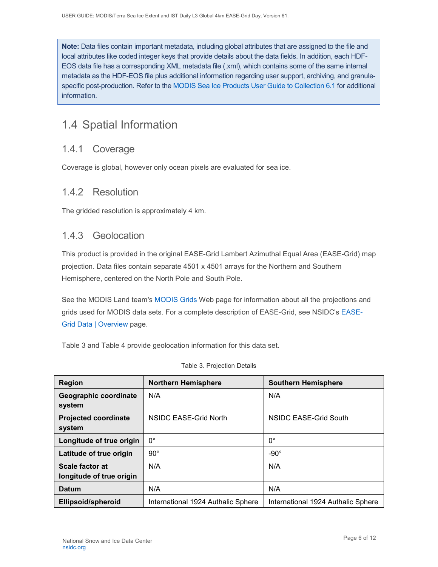**Note:** Data files contain important metadata, including global attributes that are assigned to the file and local attributes like coded integer keys that provide details about the data fields. In addition, each HDF-EOS data file has a corresponding XML metadata file (.xml), which contains some of the same internal metadata as the HDF-EOS file plus additional information regarding user support, archiving, and granulespecific post-production. Refer to the [MODIS Sea Ice Products User Guide to Collection 6.1](https://nsidc.org/sites/nsidc.org/files/technical-references/MOD29_C61_UserGuide.pdf) for additional information.

## <span id="page-6-0"></span>1.4 Spatial Information

### <span id="page-6-1"></span>1.4.1 Coverage

Coverage is global, however only ocean pixels are evaluated for sea ice.

### <span id="page-6-2"></span>1.4.2 Resolution

The gridded resolution is approximately 4 km.

### <span id="page-6-3"></span>1.4.3 Geolocation

This product is provided in the original EASE-Grid Lambert Azimuthal Equal Area (EASE-Grid) map projection. Data files contain separate 4501 x 4501 arrays for the Northern and Southern Hemisphere, centered on the North Pole and South Pole.

See the MODIS Land team's [MODIS Grids](http://modis-land.gsfc.nasa.gov/MODLAND_grid.html) Web page for information about all the projections and grids used for MODIS data sets. For a complete description of EASE-Grid, see NSIDC's [EASE-](https://nsidc.org/data/ease/index.html)[Grid Data | Overview](https://nsidc.org/data/ease/index.html) page.

Table 3 and Table 4 provide geolocation information for this data set.

| <b>Region</b>                               | <b>Northern Hemisphere</b>         | <b>Southern Hemisphere</b>         |
|---------------------------------------------|------------------------------------|------------------------------------|
| Geographic coordinate<br>system             | N/A                                | N/A                                |
| <b>Projected coordinate</b><br>system       | NSIDC EASE-Grid North              | NSIDC EASE-Grid South              |
| Longitude of true origin                    | $0^{\circ}$                        | $0^{\circ}$                        |
| Latitude of true origin                     | $90^{\circ}$                       | $-90^\circ$                        |
| Scale factor at<br>longitude of true origin | N/A                                | N/A                                |
| <b>Datum</b>                                | N/A                                | N/A                                |
| Ellipsoid/spheroid                          | International 1924 Authalic Sphere | International 1924 Authalic Sphere |

#### Table 3. Projection Details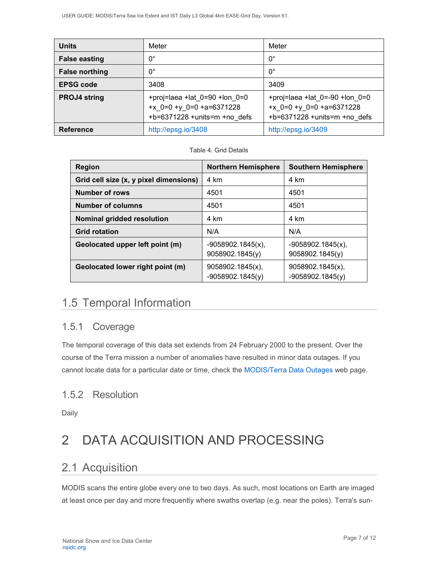| <b>Units</b>          | Meter                                                                                                   | Meter                                                                                                    |
|-----------------------|---------------------------------------------------------------------------------------------------------|----------------------------------------------------------------------------------------------------------|
| <b>False easting</b>  | $0^{\circ}$                                                                                             | $0^{\circ}$                                                                                              |
| <b>False northing</b> | $0^{\circ}$                                                                                             | $0^{\circ}$                                                                                              |
| <b>EPSG code</b>      | 3408                                                                                                    | 3409                                                                                                     |
| <b>PROJ4 string</b>   | +proj=laea +lat $0=90$ +lon $0=0$<br>+ $x$ 0=0 + $y$ 0=0 +a=6371228<br>$+b=6371228 + units=m + no$ defs | +proj=laea +lat $0 = -90$ +lon $0 = 0$<br>+ $x$ 0=0 + $y$ 0=0 +a=6371228<br>+b=6371228 +units=m +no defs |
| <b>Reference</b>      | http://epsg.io/3408                                                                                     | http://epsg.io/3409                                                                                      |

Table 4. Grid Details

| <b>Region</b>                          | <b>Northern Hemisphere</b>              | <b>Southern Hemisphere</b>              |
|----------------------------------------|-----------------------------------------|-----------------------------------------|
| Grid cell size (x, y pixel dimensions) | 4 km                                    | 4 km                                    |
| <b>Number of rows</b>                  | 4501                                    | 4501                                    |
| <b>Number of columns</b>               | 4501                                    | 4501                                    |
| Nominal gridded resolution             | 4 km                                    | 4 km                                    |
| <b>Grid rotation</b>                   | N/A                                     | N/A                                     |
| Geolocated upper left point (m)        | $-9058902.1845(x)$ ,<br>9058902.1845(y) | $-9058902.1845(x)$ ,<br>9058902.1845(y) |
| Geolocated lower right point (m)       | 9058902.1845(x),<br>$-9058902.1845(y)$  | 9058902.1845(x),<br>$-9058902.1845(y)$  |

## <span id="page-7-0"></span>1.5 Temporal Information

### <span id="page-7-1"></span>1.5.1 Coverage

The temporal coverage of this data set extends from 24 February 2000 to the present. Over the course of the Terra mission a number of anomalies have resulted in minor data outages. If you cannot locate data for a particular date or time, check the [MODIS/Terra Data Outages](http://modaps.nascom.nasa.gov/services/production/outages_terra.html) web page.

### <span id="page-7-2"></span>1.5.2 Resolution

Daily

# <span id="page-7-3"></span>2 DATA ACQUISITION AND PROCESSING

### <span id="page-7-4"></span>2.1 Acquisition

MODIS scans the entire globe every one to two days. As such, most locations on Earth are imaged at least once per day and more frequently where swaths overlap (e.g. near the poles). Terra's sun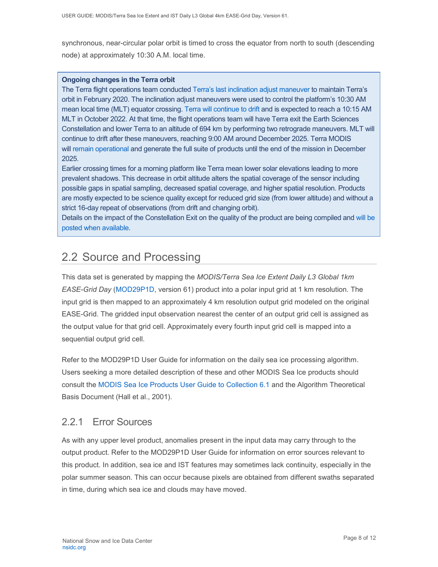synchronous, near-circular polar orbit is timed to cross the equator from north to south (descending node) at approximately 10:30 A.M. local time.

#### **Ongoing changes in the Terra orbit**

The Terra flight operations team conducted [Terra's last inclination adjust maneuver](https://terra.nasa.gov/about/terra-orbital-drift) to maintain Terra's orbit in February 2020. The inclination adjust maneuvers were used to control the platform's 10:30 AM mean local time (MLT) equator crossing. [Terra will continue to drift](https://modis.gsfc.nasa.gov/news/individual.php?news_id=100378) and is expected to reach a 10:15 AM MLT in October 2022. At that time, the flight operations team will have Terra exit the Earth Sciences Constellation and lower Terra to an altitude of 694 km by performing two retrograde maneuvers. MLT will continue to drift after these maneuvers, reaching 9:00 AM around December 2025. Terra MODIS will [remain operational](https://landweb.modaps.eosdis.nasa.gov/cgi-bin/QA_WWW/displayCase.cgi?esdt=MOD&caseNum=PM_MOD_21264&caseLocation=cases_data&type=C6&_ga=2.237971648.1728476934.1634939670-1813231108.1634939670) and generate the full suite of products until the end of the mission in December 2025.

Earlier crossing times for a morning platform like Terra mean lower solar elevations leading to more prevalent shadows. This decrease in orbit altitude alters the spatial coverage of the sensor including possible gaps in spatial sampling, decreased spatial coverage, and higher spatial resolution. Products are mostly expected to be science quality except for reduced grid size (from lower altitude) and without a strict 16-day repeat of observations (from drift and changing orbit).

Details on the impact of the Constellation Exit on the quality of the product are being compiled and [will be](https://landweb.modaps.eosdis.nasa.gov/cgi-bin/QS/new/index.cgi)  [posted when available.](https://landweb.modaps.eosdis.nasa.gov/cgi-bin/QS/new/index.cgi)

## <span id="page-8-0"></span>2.2 Source and Processing

This data set is generated by mapping the *MODIS/Terra Sea Ice Extent Daily L3 Global 1km EASE-Grid Day* [\(MOD29P1D,](https://nsidc.org/data/mod29p1d) version 61) product into a polar input grid at 1 km resolution. The input grid is then mapped to an approximately 4 km resolution output grid modeled on the original EASE-Grid. The gridded input observation nearest the center of an output grid cell is assigned as the output value for that grid cell. Approximately every fourth input grid cell is mapped into a sequential output grid cell.

Refer to the MOD29P1D User Guide for information on the daily sea ice processing algorithm. Users seeking a more detailed description of these and other MODIS Sea Ice products should consult the [MODIS Sea Ice Products User Guide to Collection 6.1](https://nsidc.org/sites/nsidc.org/files/technical-references/MOD29_C61_UserGuide.pdf) and the Algorithm Theoretical Basis Document (Hall et al., 2001).

#### <span id="page-8-1"></span>2.2.1 Error Sources

As with any upper level product, anomalies present in the input data may carry through to the output product. Refer to the MOD29P1D User Guide for information on error sources relevant to this product. In addition, sea ice and IST features may sometimes lack continuity, especially in the polar summer season. This can occur because pixels are obtained from different swaths separated in time, during which sea ice and clouds may have moved.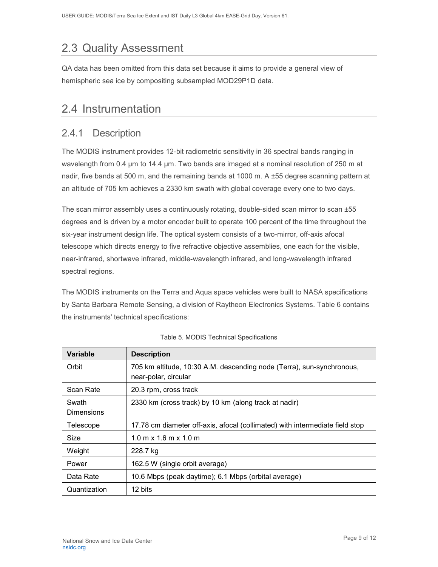## <span id="page-9-0"></span>2.3 Quality Assessment

QA data has been omitted from this data set because it aims to provide a general view of hemispheric sea ice by compositing subsampled MOD29P1D data.

### <span id="page-9-1"></span>2.4 Instrumentation

### <span id="page-9-2"></span>2.4.1 Description

The MODIS instrument provides 12-bit radiometric sensitivity in 36 spectral bands ranging in wavelength from 0.4 µm to 14.4 µm. Two bands are imaged at a nominal resolution of 250 m at nadir, five bands at 500 m, and the remaining bands at 1000 m. A ±55 degree scanning pattern at an altitude of 705 km achieves a 2330 km swath with global coverage every one to two days.

The scan mirror assembly uses a continuously rotating, double-sided scan mirror to scan ±55 degrees and is driven by a motor encoder built to operate 100 percent of the time throughout the six-year instrument design life. The optical system consists of a two-mirror, off-axis afocal telescope which directs energy to five refractive objective assemblies, one each for the visible, near-infrared, shortwave infrared, middle-wavelength infrared, and long-wavelength infrared spectral regions.

The MODIS instruments on the Terra and Aqua space vehicles were built to NASA specifications by Santa Barbara Remote Sensing, a division of Raytheon Electronics Systems. Table 6 contains the instruments' technical specifications:

| <b>Variable</b>            | <b>Description</b>                                                                            |
|----------------------------|-----------------------------------------------------------------------------------------------|
| Orbit                      | 705 km altitude, 10:30 A.M. descending node (Terra), sun-synchronous,<br>near-polar, circular |
| Scan Rate                  | 20.3 rpm, cross track                                                                         |
| Swath<br><b>Dimensions</b> | 2330 km (cross track) by 10 km (along track at nadir)                                         |
| Telescope                  | 17.78 cm diameter off-axis, afocal (collimated) with intermediate field stop                  |
| Size                       | $1.0 \text{ m} \times 1.6 \text{ m} \times 1.0 \text{ m}$                                     |
| Weight                     | 228.7 kg                                                                                      |
| Power                      | 162.5 W (single orbit average)                                                                |
| Data Rate                  | 10.6 Mbps (peak daytime); 6.1 Mbps (orbital average)                                          |
| Quantization               | 12 bits                                                                                       |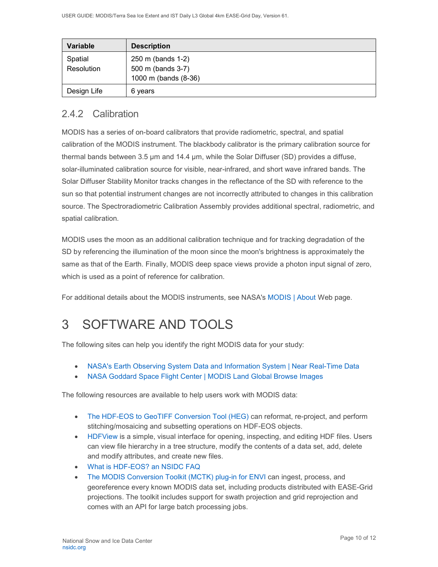| <b>Variable</b> | <b>Description</b>   |
|-----------------|----------------------|
| Spatial         | 250 m (bands 1-2)    |
| Resolution      | 500 m (bands 3-7)    |
|                 | 1000 m (bands (8-36) |
| Design Life     | 6 years              |

### <span id="page-10-0"></span>2.4.2 Calibration

MODIS has a series of on-board calibrators that provide radiometric, spectral, and spatial calibration of the MODIS instrument. The blackbody calibrator is the primary calibration source for thermal bands between 3.5 µm and 14.4 µm, while the Solar Diffuser (SD) provides a diffuse, solar-illuminated calibration source for visible, near-infrared, and short wave infrared bands. The Solar Diffuser Stability Monitor tracks changes in the reflectance of the SD with reference to the sun so that potential instrument changes are not incorrectly attributed to changes in this calibration source. The Spectroradiometric Calibration Assembly provides additional spectral, radiometric, and spatial calibration.

MODIS uses the moon as an additional calibration technique and for tracking degradation of the SD by referencing the illumination of the moon since the moon's brightness is approximately the same as that of the Earth. Finally, MODIS deep space views provide a photon input signal of zero, which is used as a point of reference for calibration.

For additional details about the MODIS instruments, see NASA's [MODIS | About](http://modis.gsfc.nasa.gov/about/) Web page.

# <span id="page-10-1"></span>3 SOFTWARE AND TOOLS

The following sites can help you identify the right MODIS data for your study:

- [NASA's Earth Observing System Data and Information System | Near Real-Time Data](http://earthdata.nasa.gov/data/near-real-time-data/rapid-response)
- [NASA Goddard Space Flight Center | MODIS Land Global Browse Images](https://landweb.modaps.eosdis.nasa.gov/cgi-bin/browse/browseMODIS.cgi)

The following resources are available to help users work with MODIS data:

- [The HDF-EOS to GeoTIFF Conversion Tool \(HEG\)](https://wiki.earthdata.nasa.gov/display/DAS/HEG%3A++HDF-EOS+to+GeoTIFF+Conversion+Tool) can reformat, re-project, and perform stitching/mosaicing and subsetting operations on HDF-EOS objects.
- [HDFView](https://www.hdfgroup.org/downloads/hdfview/) is a simple, visual interface for opening, inspecting, and editing HDF files. Users can view file hierarchy in a tree structure, modify the contents of a data set, add, delete and modify attributes, and create new files.
- [What is HDF-EOS? an NSIDC FAQ](https://nsidc.org/support/faq/what-hdf-eos)
- [The MODIS Conversion Toolkit \(MCTK\) plug-in for ENVI](https://github.com/dawhite/MCTK) can ingest, process, and georeference every known MODIS data set, including products distributed with EASE-Grid projections. The toolkit includes support for swath projection and grid reprojection and comes with an API for large batch processing jobs.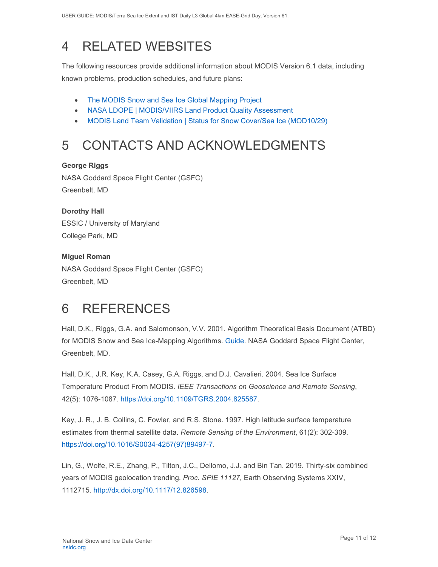# <span id="page-11-0"></span>4 RELATED WEBSITES

The following resources provide additional information about MODIS Version 6.1 data, including known problems, production schedules, and future plans:

- [The MODIS Snow and Sea Ice Global Mapping Project](http://modis-snow-ice.gsfc.nasa.gov/)
- [NASA LDOPE | MODIS/VIIRS Land Product Quality Assessment](https://landweb.modaps.eosdis.nasa.gov/cgi-bin/QS/new/index.cgi)
- [MODIS Land Team Validation | Status for Snow Cover/Sea Ice \(MOD10/29\)](https://modis-land.gsfc.nasa.gov/ValStatus.php?ProductID=MOD10/29)

# <span id="page-11-1"></span>5 CONTACTS AND ACKNOWLEDGMENTS

#### **George Riggs**

NASA Goddard Space Flight Center (GSFC) Greenbelt, MD

#### **Dorothy Hall**  ESSIC / University of Maryland

College Park, MD

#### **Miguel Roman**

NASA Goddard Space Flight Center (GSFC) Greenbelt, MD

# <span id="page-11-2"></span>6 REFERENCES

Hall, D.K., Riggs, G.A. and Salomonson, V.V. 2001. Algorithm Theoretical Basis Document (ATBD) for MODIS Snow and Sea Ice-Mapping Algorithms. [Guide.](https://modis-snow-ice.gsfc.nasa.gov/?c=atbd) NASA Goddard Space Flight Center, Greenbelt, MD.

Hall, D.K., J.R. Key, K.A. Casey, G.A. Riggs, and D.J. Cavalieri. 2004. Sea Ice Surface Temperature Product From MODIS. *IEEE Transactions on Geoscience and Remote Sensing*, 42(5): 1076-1087. [https://doi.org/10.1109/TGRS.2004.825587.](https://doi.org/10.1109/TGRS.2004.825587)

Key, J. R., J. B. Collins, C. Fowler, and R.S. Stone. 1997. High latitude surface temperature estimates from thermal satellite data. *Remote Sensing of the Environment*, 61(2): 302-309. [https://doi.org/10.1016/S0034-4257\(97\)89497-7.](https://doi.org/10.1016/S0034-4257(97)89497-7)

Lin, G., Wolfe, R.E., Zhang, P., Tilton, J.C., Dellomo, J.J. and Bin Tan. 2019. Thirty-six combined years of MODIS geolocation trending. *Proc. SPIE 11127*, Earth Observing Systems XXIV, 1112715. [http://dx.doi.org/10.1117/12.826598.](http://dx.doi.org/10.1117/12.826598)